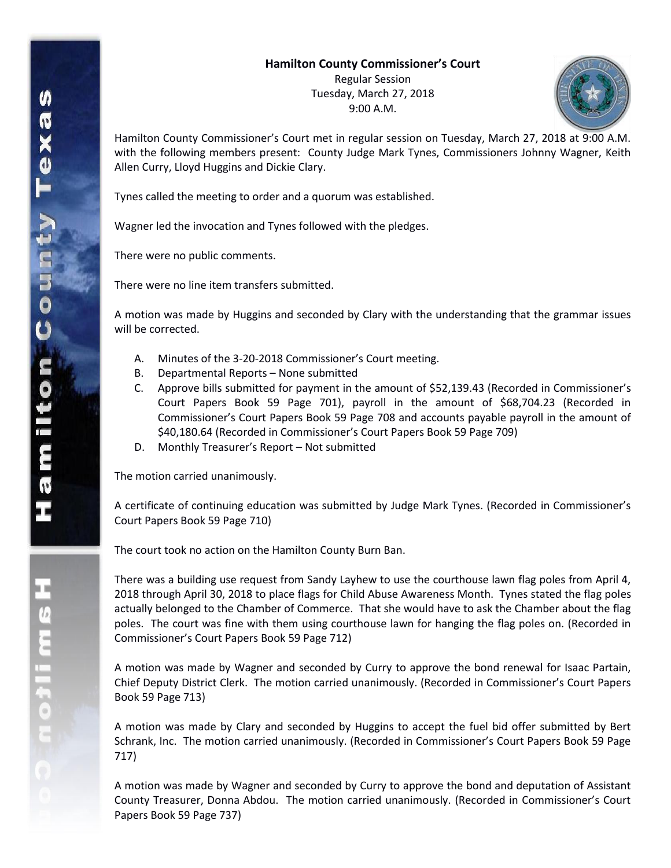Regular Session Tuesday, March 27, 2018 9:00 A.M.



Hamilton County Commissioner's Court met in regular session on Tuesday, March 27, 2018 at 9:00 A.M. with the following members present: County Judge Mark Tynes, Commissioners Johnny Wagner, Keith Allen Curry, Lloyd Huggins and Dickie Clary.

Tynes called the meeting to order and a quorum was established.

Wagner led the invocation and Tynes followed with the pledges.

There were no public comments.

There were no line item transfers submitted.

A motion was made by Huggins and seconded by Clary with the understanding that the grammar issues will be corrected.

- A. Minutes of the 3-20-2018 Commissioner's Court meeting.
- B. Departmental Reports None submitted
- C. Approve bills submitted for payment in the amount of \$52,139.43 (Recorded in Commissioner's Court Papers Book 59 Page 701), payroll in the amount of \$68,704.23 (Recorded in Commissioner's Court Papers Book 59 Page 708 and accounts payable payroll in the amount of \$40,180.64 (Recorded in Commissioner's Court Papers Book 59 Page 709)
- D. Monthly Treasurer's Report Not submitted

The motion carried unanimously.

A certificate of continuing education was submitted by Judge Mark Tynes. (Recorded in Commissioner's Court Papers Book 59 Page 710)

The court took no action on the Hamilton County Burn Ban.

There was a building use request from Sandy Layhew to use the courthouse lawn flag poles from April 4, 2018 through April 30, 2018 to place flags for Child Abuse Awareness Month. Tynes stated the flag poles actually belonged to the Chamber of Commerce. That she would have to ask the Chamber about the flag poles. The court was fine with them using courthouse lawn for hanging the flag poles on. (Recorded in Commissioner's Court Papers Book 59 Page 712)

A motion was made by Wagner and seconded by Curry to approve the bond renewal for Isaac Partain, Chief Deputy District Clerk. The motion carried unanimously. (Recorded in Commissioner's Court Papers Book 59 Page 713)

A motion was made by Clary and seconded by Huggins to accept the fuel bid offer submitted by Bert Schrank, Inc. The motion carried unanimously. (Recorded in Commissioner's Court Papers Book 59 Page 717)

A motion was made by Wagner and seconded by Curry to approve the bond and deputation of Assistant County Treasurer, Donna Abdou. The motion carried unanimously. (Recorded in Commissioner's Court Papers Book 59 Page 737)